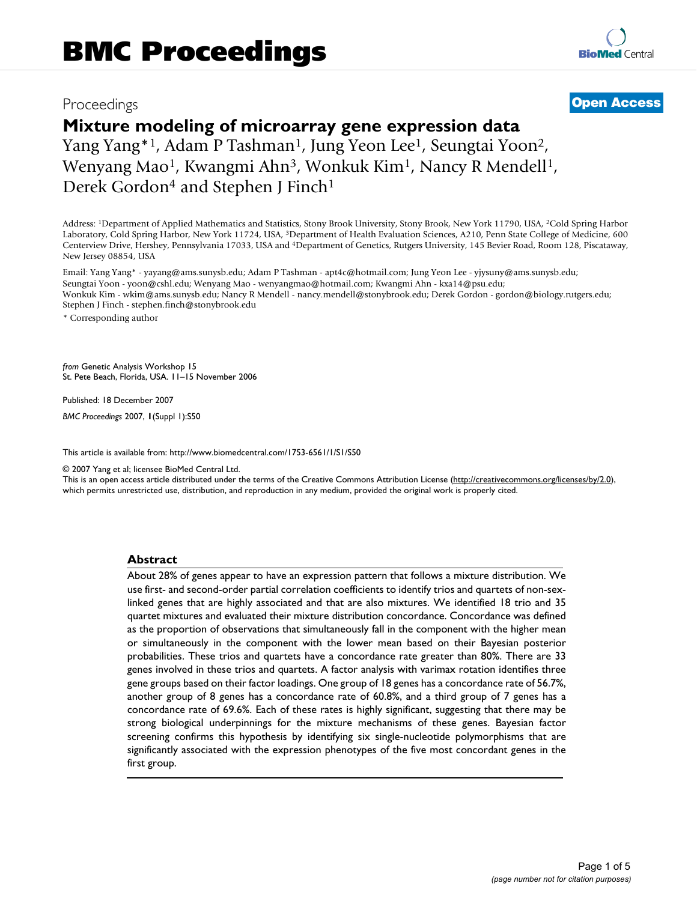## Proceedings **[Open Access](http://www.biomedcentral.com/info/about/charter/)**

# **Mixture modeling of microarray gene expression data**

Yang Yang<sup>\*1</sup>, Adam P Tashman<sup>1</sup>, Jung Yeon Lee<sup>1</sup>, Seungtai Yoon<sup>2</sup>, Wenyang Mao<sup>1</sup>, Kwangmi Ahn<sup>3</sup>, Wonkuk Kim<sup>1</sup>, Nancy R Mendell<sup>1</sup>, Derek Gordon<sup>4</sup> and Stephen J Finch<sup>1</sup>

Address: 1Department of Applied Mathematics and Statistics, Stony Brook University, Stony Brook, New York 11790, USA, 2Cold Spring Harbor Laboratory, Cold Spring Harbor, New York 11724, USA, 3Department of Health Evaluation Sciences, A210, Penn State College of Medicine, 600 Centerview Drive, Hershey, Pennsylvania 17033, USA and 4Department of Genetics, Rutgers University, 145 Bevier Road, Room 128, Piscataway, New Jersey 08854, USA

Email: Yang Yang\* - yayang@ams.sunysb.edu; Adam P Tashman - apt4c@hotmail.com; Jung Yeon Lee - yjysuny@ams.sunysb.edu; Seungtai Yoon - yoon@cshl.edu; Wenyang Mao - wenyangmao@hotmail.com; Kwangmi Ahn - kxa14@psu.edu; Wonkuk Kim - wkim@ams.sunysb.edu; Nancy R Mendell - nancy.mendell@stonybrook.edu; Derek Gordon - gordon@biology.rutgers.edu; Stephen J Finch - stephen.finch@stonybrook.edu

\* Corresponding author

*from* Genetic Analysis Workshop 15 St. Pete Beach, Florida, USA. 11–15 November 2006

Published: 18 December 2007

*BMC Proceedings* 2007, **1**(Suppl 1):S50

[This article is available from: http://www.biomedcentral.com/1753-6561/1/S1/S50](http://www.biomedcentral.com/1753-6561/1/S1/S50)

© 2007 Yang et al; licensee BioMed Central Ltd.

This is an open access article distributed under the terms of the Creative Commons Attribution License [\(http://creativecommons.org/licenses/by/2.0\)](http://creativecommons.org/licenses/by/2.0), which permits unrestricted use, distribution, and reproduction in any medium, provided the original work is properly cited.

### **Abstract**

About 28% of genes appear to have an expression pattern that follows a mixture distribution. We use first- and second-order partial correlation coefficients to identify trios and quartets of non-sexlinked genes that are highly associated and that are also mixtures. We identified 18 trio and 35 quartet mixtures and evaluated their mixture distribution concordance. Concordance was defined as the proportion of observations that simultaneously fall in the component with the higher mean or simultaneously in the component with the lower mean based on their Bayesian posterior probabilities. These trios and quartets have a concordance rate greater than 80%. There are 33 genes involved in these trios and quartets. A factor analysis with varimax rotation identifies three gene groups based on their factor loadings. One group of 18 genes has a concordance rate of 56.7%, another group of 8 genes has a concordance rate of 60.8%, and a third group of 7 genes has a concordance rate of 69.6%. Each of these rates is highly significant, suggesting that there may be strong biological underpinnings for the mixture mechanisms of these genes. Bayesian factor screening confirms this hypothesis by identifying six single-nucleotide polymorphisms that are significantly associated with the expression phenotypes of the five most concordant genes in the first group.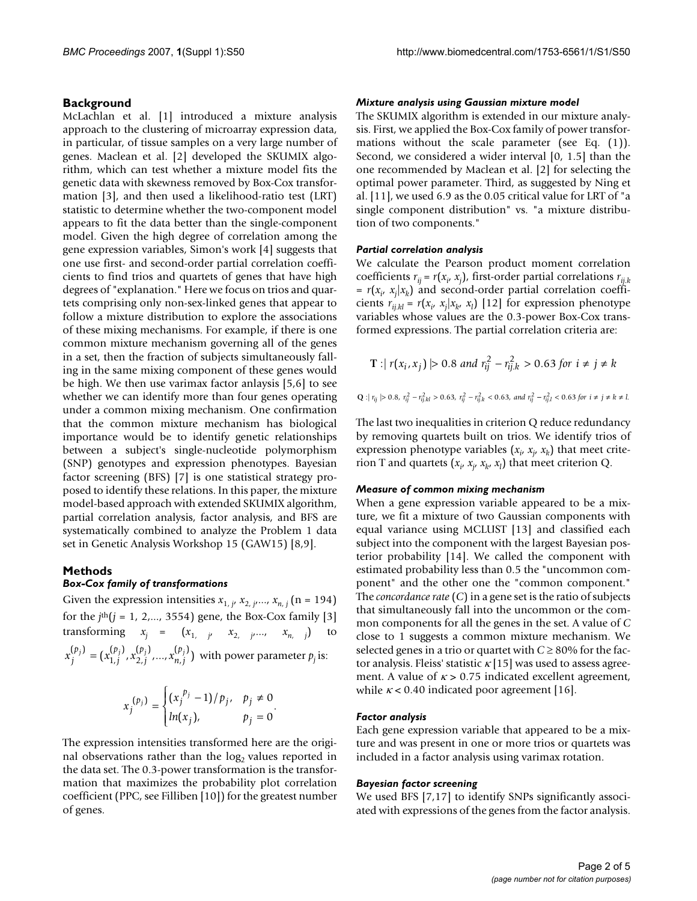#### **Background**

McLachlan et al. [1] introduced a mixture analysis approach to the clustering of microarray expression data, in particular, of tissue samples on a very large number of genes. Maclean et al. [2] developed the SKUMIX algorithm, which can test whether a mixture model fits the genetic data with skewness removed by Box-Cox transformation [3], and then used a likelihood-ratio test (LRT) statistic to determine whether the two-component model appears to fit the data better than the single-component model. Given the high degree of correlation among the gene expression variables, Simon's work [4] suggests that one use first- and second-order partial correlation coefficients to find trios and quartets of genes that have high degrees of "explanation." Here we focus on trios and quartets comprising only non-sex-linked genes that appear to follow a mixture distribution to explore the associations of these mixing mechanisms. For example, if there is one common mixture mechanism governing all of the genes in a set, then the fraction of subjects simultaneously falling in the same mixing component of these genes would be high. We then use varimax factor anlaysis [5,6] to see whether we can identify more than four genes operating under a common mixing mechanism. One confirmation that the common mixture mechanism has biological importance would be to identify genetic relationships between a subject's single-nucleotide polymorphism (SNP) genotypes and expression phenotypes. Bayesian factor screening (BFS) [7] is one statistical strategy proposed to identify these relations. In this paper, the mixture model-based approach with extended SKUMIX algorithm, partial correlation analysis, factor analysis, and BFS are systematically combined to analyze the Problem 1 data set in Genetic Analysis Workshop 15 (GAW15) [8,9].

#### **Methods**

#### *Box-Cox family of transformations*

Given the expression intensities  $x_{1,j}$ ,  $x_{2,j}$ , ...,  $x_{n,j}$  (n = 194) for the  $j<sup>th</sup>(j = 1, 2,..., 3554)$  gene, the Box-Cox family [3] transforming  $x_j = (x_{1, j}, x_{2, j}, ..., x_{n, j})$  to  $x_j^{(p_j)} = (x_{1,j}^{(p_j)}, x_{2,j}^{(p_j)},...,x_{n,j}^{(p_j)})$  with power parameter  $p_j$  is: *j p j p n j*  $p_j (p_j) = p_j (p_j) p_j (p_j)$   $p_j (p_j)$ ,  $(p_i)$ ,  $(p_i)$  $=(x_{1,j}^{(p_j)},x_{2,j}^{(p_j)},...,x_{n,j}^{(p_j)})$ 

$$
x_j^{(p_j)} = \begin{cases} (x_j^{p_j} - 1) / p_j, & p_j \neq 0 \\ ln(x_j), & p_j = 0 \end{cases}.
$$

The expression intensities transformed here are the original observations rather than the  $log<sub>2</sub>$  values reported in the data set. The 0.3-power transformation is the transformation that maximizes the probability plot correlation coefficient (PPC, see Filliben [10]) for the greatest number of genes.

#### *Mixture analysis using Gaussian mixture model*

The SKUMIX algorithm is extended in our mixture analysis. First, we applied the Box-Cox family of power transformations without the scale parameter (see Eq. (1)). Second, we considered a wider interval [0, 1.5] than the one recommended by Maclean et al. [2] for selecting the optimal power parameter. Third, as suggested by Ning et al. [11], we used 6.9 as the 0.05 critical value for LRT of "a single component distribution" vs. "a mixture distribution of two components."

#### *Partial correlation analysis*

We calculate the Pearson product moment correlation coefficients  $r_{ij} = r(x_i, x_j)$ , first-order partial correlations  $r_{ij,k}$  $= r(x_i, x_j|x_k)$  and second-order partial correlation coefficients  $r_{ij,kl} = r(x_i, x_j | x_k, x_l)$  [12] for expression phenotype variables whose values are the 0.3-power Box-Cox transformed expressions. The partial correlation criteria are:

$$
T: |r(x_i, x_j)| > 0.8 \text{ and } r_{ij}^2 - r_{ij,k}^2 > 0.63 \text{ for } i \neq j \neq k
$$
  

$$
: |r_{ij}| > 0.8, r_{ij}^2 - r_{ij,k}^2 > 0.63, r_{ij}^2 - r_{ij,k}^2 < 0.63, \text{ and } r_{ij}^2 - r_{ij,l}^2 < 0.63 \text{ for } i \neq j \neq k \neq l
$$

The last two inequalities in criterion Q reduce redundancy by removing quartets built on trios. We identify trios of expression phenotype variables  $(x_i, x_j, x_k)$  that meet criterion T and quartets  $(x_i, x_j, x_k, x_l)$  that meet criterion Q.

#### *Measure of common mixing mechanism*

When a gene expression variable appeared to be a mixture, we fit a mixture of two Gaussian components with equal variance using MCLUST [13] and classified each subject into the component with the largest Bayesian posterior probability [14]. We called the component with estimated probability less than 0.5 the "uncommon component" and the other one the "common component." The *concordance rate* (*C*) in a gene set is the ratio of subjects that simultaneously fall into the uncommon or the common components for all the genes in the set. A value of *C* close to 1 suggests a common mixture mechanism. We selected genes in a trio or quartet with  $C \geq 80\%$  for the factor analysis. Fleiss' statistic  $\kappa$  [15] was used to assess agreement. A value of  $\kappa > 0.75$  indicated excellent agreement, while  $\kappa$  < 0.40 indicated poor agreement [16].

#### *Factor analysis*

Each gene expression variable that appeared to be a mixture and was present in one or more trios or quartets was included in a factor analysis using varimax rotation.

#### *Bayesian factor screening*

We used BFS [7,17] to identify SNPs significantly associated with expressions of the genes from the factor analysis.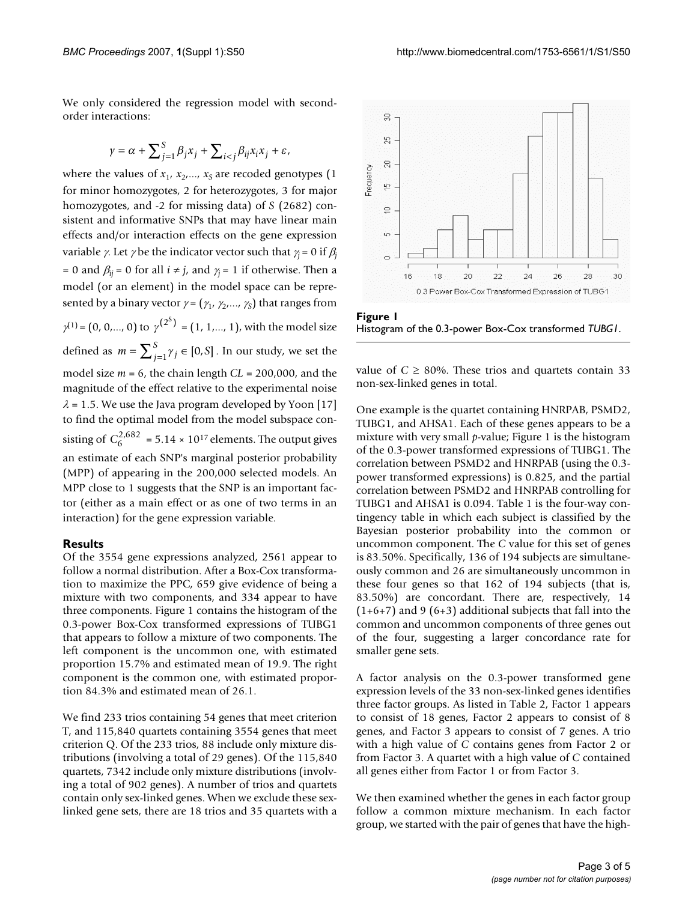We only considered the regression model with secondorder interactions:

$$
\gamma = \alpha + \sum_{j=1}^{S} \beta_j x_j + \sum_{i < j} \beta_{ij} x_i x_j + \varepsilon,
$$

where the values of  $x_1$ ,  $x_2$ , ...,  $x_S$  are recoded genotypes (1) for minor homozygotes, 2 for heterozygotes, 3 for major homozygotes, and -2 for missing data) of *S* (2682) consistent and informative SNPs that may have linear main effects and/or interaction effects on the gene expression variable *γ*. Let *γ* be the indicator vector such that  $\gamma_j = 0$  if  $\beta_j$ = 0 and  $\beta_{ij}$  = 0 for all  $i \neq j$ , and  $\gamma_i$  = 1 if otherwise. Then a model (or an element) in the model space can be represented by a binary vector  $\gamma = (\gamma_1, \gamma_2, ..., \gamma_S)$  that ranges from  $\gamma^{(1)} = (0, 0, \ldots, 0)$  to  $\gamma^{(2^S)} = (1, 1, \ldots, 1)$ , with the model size defined as  $m = \sum_{j=1}^{S} \gamma_j \in [0, S]$  . In our study, we set the model size *m* = 6, the chain length *CL* = 200,000, and the magnitude of the effect relative to the experimental noise  $\lambda$  = 1.5. We use the Java program developed by Yoon [17] to find the optimal model from the model subspace consisting of  $C_6^{2,682}$  = 5.14 × 10<sup>17</sup> elements. The output gives an estimate of each SNP's marginal posterior probability (MPP) of appearing in the 200,000 selected models. An MPP close to 1 suggests that the SNP is an important factor (either as a main effect or as one of two terms in an interaction) for the gene expression variable.

#### **Results**

Of the 3554 gene expressions analyzed, 2561 appear to follow a normal distribution. After a Box-Cox transformation to maximize the PPC, 659 give evidence of being a mixture with two components, and 334 appear to have three components. Figure 1 contains the histogram of the 0.3-power Box-Cox transformed expressions of TUBG1 that appears to follow a mixture of two components. The left component is the uncommon one, with estimated proportion 15.7% and estimated mean of 19.9. The right component is the common one, with estimated proportion 84.3% and estimated mean of 26.1.

We find 233 trios containing 54 genes that meet criterion T, and 115,840 quartets containing 3554 genes that meet criterion Q. Of the 233 trios, 88 include only mixture distributions (involving a total of 29 genes). Of the 115,840 quartets, 7342 include only mixture distributions (involving a total of 902 genes). A number of trios and quartets contain only sex-linked genes. When we exclude these sexlinked gene sets, there are 18 trios and 35 quartets with a



Figure I Histogram of the 0.3-power Box-Cox transformed *TUBG1*.

value of  $C \ge 80\%$ . These trios and quartets contain 33 non-sex-linked genes in total.

One example is the quartet containing HNRPAB, PSMD2, TUBG1, and AHSA1. Each of these genes appears to be a mixture with very small *p*-value; Figure 1 is the histogram of the 0.3-power transformed expressions of TUBG1. The correlation between PSMD2 and HNRPAB (using the 0.3 power transformed expressions) is 0.825, and the partial correlation between PSMD2 and HNRPAB controlling for TUBG1 and AHSA1 is 0.094. Table 1 is the four-way contingency table in which each subject is classified by the Bayesian posterior probability into the common or uncommon component. The *C* value for this set of genes is 83.50%. Specifically, 136 of 194 subjects are simultaneously common and 26 are simultaneously uncommon in these four genes so that 162 of 194 subjects (that is, 83.50%) are concordant. There are, respectively, 14  $(1+6+7)$  and 9  $(6+3)$  additional subjects that fall into the common and uncommon components of three genes out of the four, suggesting a larger concordance rate for smaller gene sets.

A factor analysis on the 0.3-power transformed gene expression levels of the 33 non-sex-linked genes identifies three factor groups. As listed in Table 2, Factor 1 appears to consist of 18 genes, Factor 2 appears to consist of 8 genes, and Factor 3 appears to consist of 7 genes. A trio with a high value of *C* contains genes from Factor 2 or from Factor 3. A quartet with a high value of *C* contained all genes either from Factor 1 or from Factor 3.

We then examined whether the genes in each factor group follow a common mixture mechanism. In each factor group, we started with the pair of genes that have the high-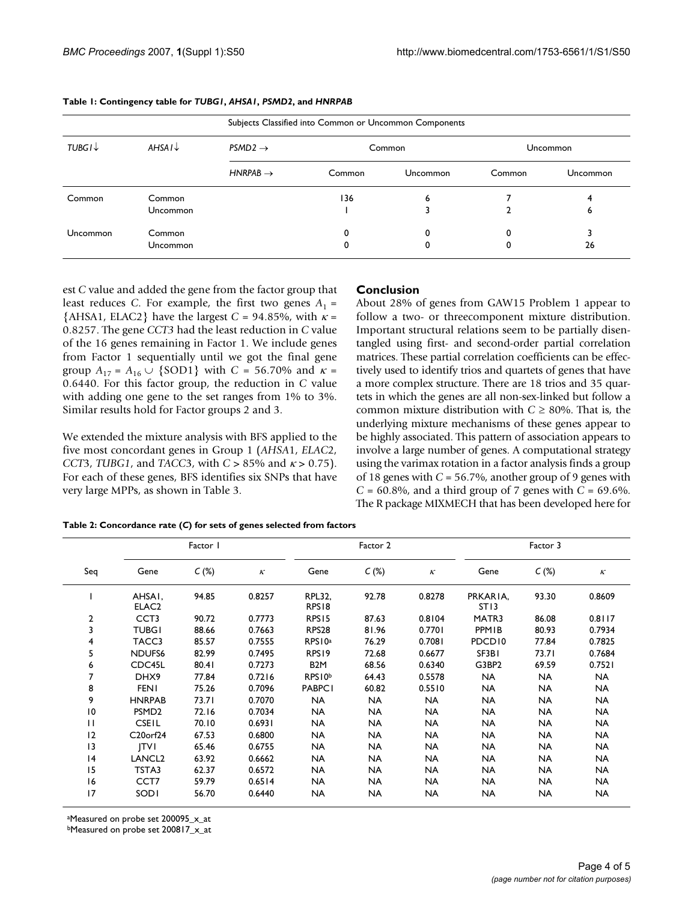| Subjects Classified into Common or Uncommon Components |                        |                      |        |          |          |          |  |
|--------------------------------------------------------|------------------------|----------------------|--------|----------|----------|----------|--|
| $TUBGI\downarrow$                                      | $A$ HSA $I \downarrow$ | $PSMD2 \rightarrow$  |        | Common   | Uncommon |          |  |
|                                                        |                        | $HNRPAB \rightarrow$ | Common | Uncommon | Common   | Uncommon |  |
| Common                                                 | Common                 |                      | 136    | 6        |          |          |  |
|                                                        | Uncommon               |                      |        |          |          | o        |  |
| Uncommon                                               | Common                 |                      |        | 0        |          |          |  |
|                                                        | Uncommon               |                      |        |          | 0        | 26       |  |

#### **Table 1: Contingency table for** *TUBG1***,** *AHSA1***,** *PSMD2***, and** *HNRPAB*

est *C* value and added the gene from the factor group that least reduces *C*. For example, the first two genes  $A_1$  =  ${AHSA1, ELAC2}$  have the largest *C* = 94.85%, with  $\kappa$  = 0.8257. The gene *CCT3* had the least reduction in *C* value of the 16 genes remaining in Factor 1. We include genes from Factor 1 sequentially until we got the final gene group  $A_{17} = A_{16} \cup \{SOD1\}$  with  $C = 56.70\%$  and  $\kappa =$ 0.6440. For this factor group, the reduction in *C* value with adding one gene to the set ranges from 1% to 3%. Similar results hold for Factor groups 2 and 3.

We extended the mixture analysis with BFS applied to the five most concordant genes in Group 1 (*AHSA*1, *ELAC*2, *CCT*3, *TUBG1*, and *TACC*3, with *C* > 85% and <sup>κ</sup> > 0.75). For each of these genes, BFS identifies six SNPs that have very large MPPs, as shown in Table 3.

#### **Conclusion**

About 28% of genes from GAW15 Problem 1 appear to follow a two- or threecomponent mixture distribution. Important structural relations seem to be partially disentangled using first- and second-order partial correlation matrices. These partial correlation coefficients can be effectively used to identify trios and quartets of genes that have a more complex structure. There are 18 trios and 35 quartets in which the genes are all non-sex-linked but follow a common mixture distribution with  $C \ge 80\%$ . That is, the underlying mixture mechanisms of these genes appear to be highly associated. This pattern of association appears to involve a large number of genes. A computational strategy using the varimax rotation in a factor analysis finds a group of 18 genes with *C* = 56.7%, another group of 9 genes with *C* = 60.8%, and a third group of 7 genes with *C* = 69.6%. The R package MIXMECH that has been developed here for

#### **Table 2: Concordance rate (***C***) for sets of genes selected from factors**

| Seq          | Factor I                          |       |                           | Factor 2                           |           |           | Factor 3                     |           |                           |
|--------------|-----------------------------------|-------|---------------------------|------------------------------------|-----------|-----------|------------------------------|-----------|---------------------------|
|              | Gene                              | C(%)  | $\boldsymbol{\mathit{K}}$ | Gene                               | C(%)      | $\kappa$  | Gene                         | $C(\%)$   | $\boldsymbol{\mathit{K}}$ |
|              | AHSAI,<br>ELAC <sub>2</sub>       | 94.85 | 0.8257                    | <b>RPL32,</b><br>RPS <sub>18</sub> | 92.78     | 0.8278    | PRKARIA,<br>ST <sub>13</sub> | 93.30     | 0.8609                    |
| 2            | CCT <sub>3</sub>                  | 90.72 | 0.7773                    | RPS <sub>15</sub>                  | 87.63     | 0.8104    | MATR3                        | 86.08     | 0.8117                    |
| 3            | <b>TUBG1</b>                      | 88.66 | 0.7663                    | RPS <sub>28</sub>                  | 81.96     | 0.7701    | PPMIB                        | 80.93     | 0.7934                    |
| 4            | TACC3                             | 85.57 | 0.7555                    | RPS10 <sup>a</sup>                 | 76.29     | 0.7081    | PDCD <sub>10</sub>           | 77.84     | 0.7825                    |
| 5            | NDUFS <sub>6</sub>                | 82.99 | 0.7495                    | RPS <sub>19</sub>                  | 72.68     | 0.6677    | SF3B1                        | 73.71     | 0.7684                    |
| 6            | CDC45L                            | 80.41 | 0.7273                    | B <sub>2</sub> M                   | 68.56     | 0.6340    | G3BP2                        | 69.59     | 0.7521                    |
|              | DHX9                              | 77.84 | 0.7216                    | RPS10b                             | 64.43     | 0.5578    | <b>NA</b>                    | <b>NA</b> | <b>NA</b>                 |
| 8            | <b>FENI</b>                       | 75.26 | 0.7096                    | <b>PABPC1</b>                      | 60.82     | 0.5510    | <b>NA</b>                    | <b>NA</b> | <b>NA</b>                 |
| 9            | <b>HNRPAB</b>                     | 73.71 | 0.7070                    | <b>NA</b>                          | <b>NA</b> | <b>NA</b> | <b>NA</b>                    | <b>NA</b> | <b>NA</b>                 |
| 10           | PSMD <sub>2</sub>                 | 72.16 | 0.7034                    | <b>NA</b>                          | <b>NA</b> | NA        | <b>NA</b>                    | <b>NA</b> | <b>NA</b>                 |
| $\mathbf{H}$ | <b>CSEIL</b>                      | 70.10 | 0.6931                    | <b>NA</b>                          | <b>NA</b> | <b>NA</b> | <b>NA</b>                    | NA.       | <b>NA</b>                 |
| $ 2\rangle$  | C <sub>20</sub> orf <sub>24</sub> | 67.53 | 0.6800                    | <b>NA</b>                          | <b>NA</b> | <b>NA</b> | <b>NA</b>                    | <b>NA</b> | <b>NA</b>                 |
| 13           | TV                                | 65.46 | 0.6755                    | <b>NA</b>                          | <b>NA</b> | <b>NA</b> | <b>NA</b>                    | <b>NA</b> | <b>NA</b>                 |
| 4            | LANCL <sub>2</sub>                | 63.92 | 0.6662                    | <b>NA</b>                          | <b>NA</b> | NA        | <b>NA</b>                    | <b>NA</b> | <b>NA</b>                 |
| 15           | TSTA3                             | 62.37 | 0.6572                    | <b>NA</b>                          | <b>NA</b> | <b>NA</b> | <b>NA</b>                    | <b>NA</b> | <b>NA</b>                 |
| 16           | CCT7                              | 59.79 | 0.6514                    | <b>NA</b>                          | <b>NA</b> | NA        | <b>NA</b>                    | <b>NA</b> | <b>NA</b>                 |
| 17           | SODI                              | 56.70 | 0.6440                    | <b>NA</b>                          | <b>NA</b> | NA        | <b>NA</b>                    | <b>NA</b> | <b>NA</b>                 |

aMeasured on probe set 200095\_x\_at

bMeasured on probe set 200817\_x\_at